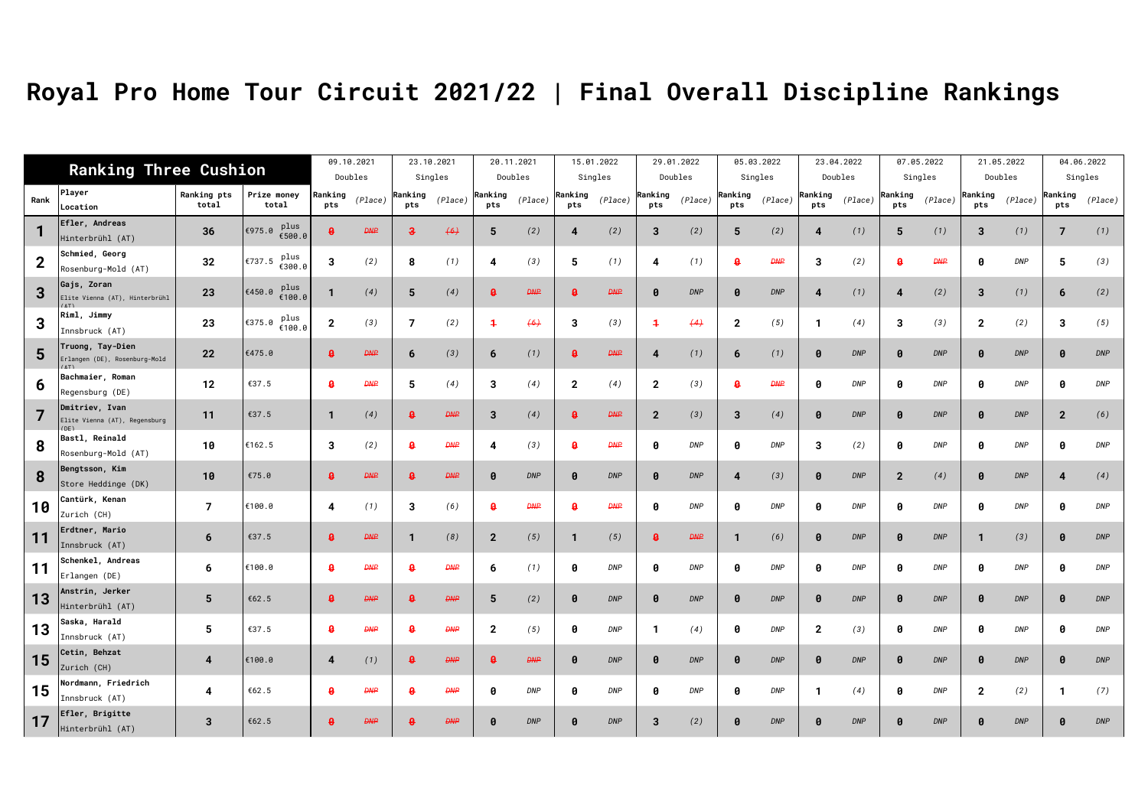## **Royal Pro Home Tour Circuit 2021/22 | Final Overall Discipline Rankings**

|             |                                                           | <b>Ranking Three Cushion</b> |                          | 09.10.2021                |             |                           | 23.10.2021 |                     | 20.11.2021 |                       | 15.01.2022  |                       | 29.01.2022 |                       | 05.03.2022 |                       | 23.04.2022 |                | 07.05.2022  |                       | 21.05.2022 |                       | 04.06.2022 |
|-------------|-----------------------------------------------------------|------------------------------|--------------------------|---------------------------|-------------|---------------------------|------------|---------------------|------------|-----------------------|-------------|-----------------------|------------|-----------------------|------------|-----------------------|------------|----------------|-------------|-----------------------|------------|-----------------------|------------|
|             |                                                           |                              |                          | Doubles                   |             |                           | Singles    |                     | Doubles    |                       | Singles     |                       | Doubles    |                       | Singles    |                       | Doubles    |                | Singles     |                       | Doubles    |                       | Singles    |
| Rank        | Player<br>Location                                        | Ranking pts<br>total         | Prize money<br>total     | Ranking<br>pts            | (Place)     | Ranking<br>pts            | (Place)    | Ranking<br>pts      | (Place)    | Ranking<br>pts        | (Place)     | Ranking<br><b>pts</b> | (Place)    | Ranking<br>pts        | (Place)    | Ranking<br>pts        | (Place)    | Ranking<br>pts | (Place)     | Ranking<br>pts        | (Place)    | Ranking<br>pts        | (Place)    |
| 1           | Efler, Andreas<br>Hinterbrühl (AT)                        | 36                           | plus<br>€975.0<br>€500.0 |                           | <b>DNP</b>  | з                         | (6)        | 5                   | (2)        | 4                     | (2)         | 3                     | (2)        | 5                     | (2)        | 4                     | (1)        | 5              | (1)         | 3                     | (1)        | 7                     | (1)        |
| $\mathbf 2$ | Schmied, Georg<br>Rosenburg-Mold (AT)                     | 32                           | plus<br>€737.5<br>€300.0 | 3                         | (2)         | 8                         | (1)        | 4                   | (3)        | 5                     | (1)         | 4                     | (1)        | A                     | <b>DNP</b> | 3                     | (2)        | A              | <b>DAIP</b> | 0                     | DNP        | 5                     | (3)        |
| 3           | Gajs, Zoran<br>Elite Vienna (AT), Hinterbrühl<br>(AT)     | 23                           | plus<br>€450.0<br>€100.0 |                           | (4)         | 5                         | (4)        |                     | <b>DNP</b> |                       | <b>DAIP</b> | Ø                     | <b>DNP</b> | $\boldsymbol{\theta}$ | <b>DNP</b> | 4                     | (1)        |                | (2)         | 3                     | (1)        | 6                     | (2)        |
| 3           | Riml, Jimmy<br>Innsbruck (AT)                             | 23                           | plus<br>€375.0<br>€100.0 | $\mathbf{2}$              | (3)         | 7                         | (2)        | $\ddot{\mathbf{r}}$ | (6)        | 3                     | (3)         | 4                     | (4)        | $\mathbf{2}$          | (5)        | 1                     | (4)        | 3              | (3)         | $\mathbf{2}$          | (2)        | -3                    | (5)        |
| 5           | Truong, Tay-Dien<br>Erlangen (DE), Rosenburg-Mold<br>(AT) | 22                           | €475.0                   | A                         | <b>DAIP</b> | 6                         | (3)        | 6                   | (1)        | $\mathbf a$           | <b>DNP</b>  | 4                     | (1)        | 6                     | (1)        | <sup>0</sup>          | <b>DNP</b> |                | <b>DNP</b>  | $\boldsymbol{\theta}$ | <b>DNP</b> |                       | <b>DNP</b> |
| 6           | Bachmaier, Roman<br>Regensburg (DE)                       | 12                           | €37.5                    | 8                         | <b>DNP</b>  | 5                         | (4)        | 3                   | (4)        | $\overline{2}$        | (4)         | $\mathbf{2}$          | (3)        | A                     | <b>DNP</b> | ø                     | <b>DNP</b> | 0              | <b>DNP</b>  | 0                     | <b>DNP</b> | Ø                     | <b>DNP</b> |
| 7           | Dmitriev, Ivan<br>Elite Vienna (AT), Regensburg<br>(DF)   | 11                           | €37.5                    | $\mathbf{1}$              | (4)         | $\mathbf{a}$              | <b>DNP</b> | 3                   | (4)        | $\mathbf a$           | <b>DNP</b>  | $\mathbf{2}$          | (3)        | 3                     | (4)        | $\boldsymbol{\theta}$ | <b>DNP</b> | -0             | <b>DNP</b>  | $\boldsymbol{\theta}$ | <b>DNP</b> | $\overline{2}$        | (6)        |
| 8           | Bastl, Reinald<br>Rosenburg-Mold (AT)                     | 10                           | €162.5                   | 3                         | (2)         | <b>A</b>                  | <b>DNP</b> |                     | (3)        | B                     | <b>DNP</b>  | ø                     | <b>DNP</b> | ø                     | <b>DNP</b> | 3                     | (2)        | ø              | <b>DNP</b>  | 0                     | <b>DNP</b> | Ø                     | <b>DNP</b> |
| 8           | Bengtsson, Kim<br>Store Heddinge (DK)                     | 10                           | €75.0                    | $\boldsymbol{\mathsf{a}}$ | <b>DNP</b>  | $\boldsymbol{\mathsf{a}}$ | <b>DNP</b> | Ø                   | <b>DNP</b> | $\boldsymbol{\theta}$ | <b>DNP</b>  | Ø                     | <b>DNP</b> | 4                     | (3)        | $\boldsymbol{\theta}$ | <b>DNP</b> | $\overline{2}$ | (4)         | $\boldsymbol{\theta}$ | <b>DNP</b> |                       | (4)        |
| 10          | Cantürk, Kenan<br>Zurich (CH)                             | $\overline{7}$               | €100.0                   | 4                         | (1)         | 3                         | (6)        | 8                   | <b>DNP</b> | я                     | <b>DNP</b>  | 0                     | <b>DNP</b> | ด                     | <b>DNP</b> | ø                     | <b>DNP</b> | ิค             | <b>DNP</b>  | 0                     | <b>DNP</b> | Ø                     | <b>DNP</b> |
| 11          | Erdtner, Mario<br>Innsbruck (AT)                          | 6                            | €37.5                    | ₿                         | <b>DNP</b>  | -1                        | (8)        | $\overline{2}$      | (5)        | -1                    | (5)         | A                     | <b>DNP</b> | 1                     | (6)        | $\boldsymbol{\theta}$ | <b>DNP</b> | <b>A</b>       | <b>DNP</b>  | -1                    | (3)        | Ø                     | <b>DNP</b> |
| 11          | <b>Schenkel, Andreas</b><br>Erlangen (DE)                 | 6                            | €100.0                   | <b>A</b>                  | <b>DNP</b>  | <b>A</b>                  | <b>DNP</b> | 6                   | (1)        | Ø                     | <b>DNP</b>  | ø                     | <b>DNP</b> | ø                     | <b>DNP</b> | ø                     | <b>DNP</b> | ิค             | <b>DNP</b>  | ø                     | <b>DNP</b> | A                     | <b>DNP</b> |
| 13          | Anstrin, Jerker<br>Hinterbrühl (AT)                       | 5                            | €62.5                    | ₿                         | <b>DNP</b>  | A                         | <b>DNP</b> | 5                   | (2)        | $\theta$              | <b>DNP</b>  | Ø                     | <b>DNP</b> | Ø                     | <b>DNP</b> | ø                     | <b>DNP</b> | -0             | <b>DNP</b>  | -0                    | <b>DNP</b> | $\boldsymbol{\theta}$ | <b>DNP</b> |
| 13          | Saska, Harald<br>Innsbruck (AT)                           | 5                            | €37.5                    | $\mathbf{a}$              | <b>DNP</b>  | $\mathbf{a}$              | <b>DNP</b> | $\overline{2}$      | (5)        | Ø                     | <b>DNP</b>  | -1                    | (4)        | ิค                    | <b>DNP</b> | $\overline{2}$        | (3)        | ิค             | <b>DNP</b>  | ø                     | <b>DNP</b> | <b>A</b>              | <b>DNP</b> |
| 15          | Cetin, Behzat<br>Zurich (CH)                              | 4                            | €100.0                   | 4                         | (1)         |                           | <b>DNP</b> | Ø                   | <b>DNP</b> | $\boldsymbol{\theta}$ | <b>DNP</b>  | 0                     | DNP        | $\boldsymbol{\theta}$ | <b>DNP</b> | $\boldsymbol{\theta}$ | <b>DNP</b> |                | <b>DNP</b>  | $\boldsymbol{\theta}$ | <b>DNP</b> | Ø                     | <b>DNP</b> |
| 15          | Nordmann, Friedrich<br>Innsbruck (AT)                     | 4                            | €62.5                    | 8                         | <b>DNP</b>  | <b>A</b>                  | ĐN₽        | 0                   | <b>DNP</b> | Ø                     | <b>DNP</b>  | 0                     | DNP        | ø                     | <b>DNP</b> | 1                     | (4)        | ø              | <b>DNP</b>  | $\overline{2}$        | (2)        | $\mathbf 1$           | (7)        |
| 17          | Efler, Brigitte<br>Hinterbrühl (AT)                       | 3                            | €62.5                    |                           | <b>DNP</b>  |                           | <b>DNP</b> | 0                   | <b>DNP</b> | $\boldsymbol{\theta}$ | <b>DNP</b>  | 3                     | (2)        | $\boldsymbol{\theta}$ | <b>DNP</b> | $\boldsymbol{\theta}$ | <b>DNP</b> |                | <b>DNP</b>  | Ø                     | <b>DNP</b> |                       | <b>DNP</b> |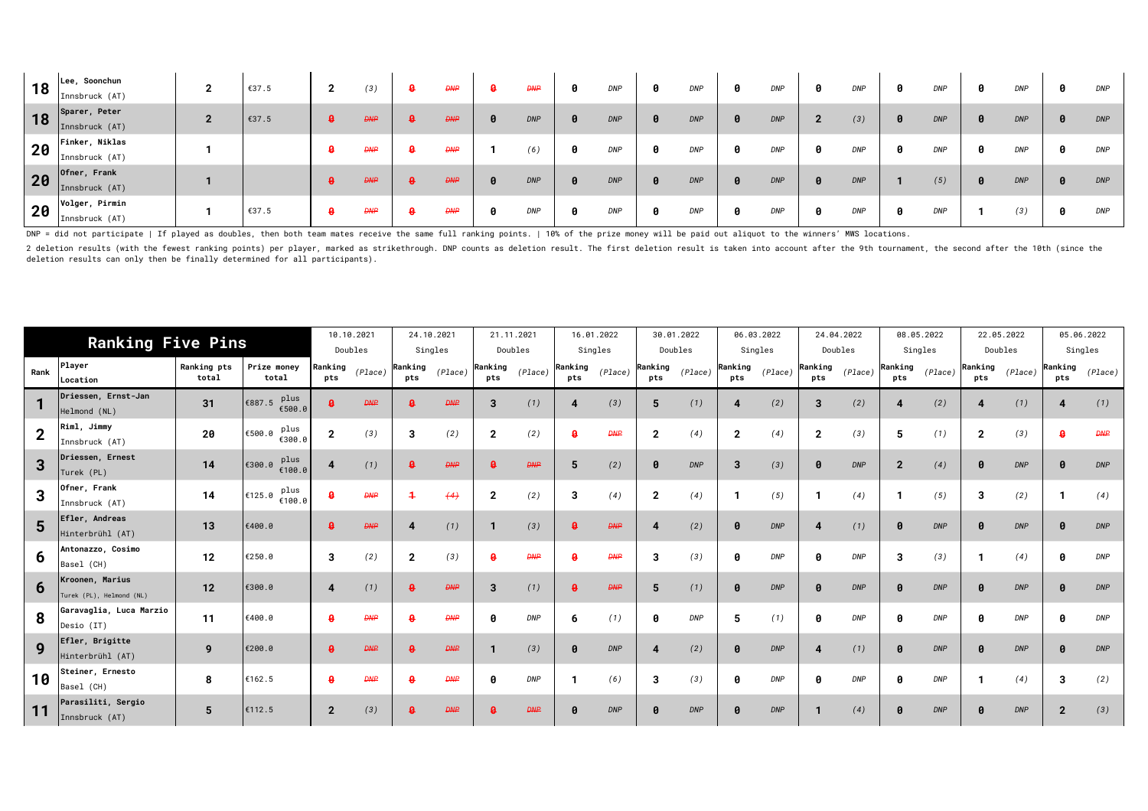| 18 | Lee, Soonchun<br>Innsbruck (AT)  | 2            | €37.5 | ◠<br>$\mathbf{z}$ | (3)         | -9 | Đ₩₽        | ₽ | <b>DNP</b> | <b>DNP</b> | 0 | <b>DNP</b> | 0 | <b>DNP</b> | <b>DNP</b> |     | <b>DNP</b> | 0 | <b>DNP</b> | DNP        |
|----|----------------------------------|--------------|-------|-------------------|-------------|----|------------|---|------------|------------|---|------------|---|------------|------------|-----|------------|---|------------|------------|
| 18 | Sparer, Peter<br>Innsbruck (AT)  | $\mathbf{2}$ | €37.5 | ₿                 | <b>DAIP</b> | ₿  | <b>DNP</b> |   | <b>DNP</b> | <b>DNP</b> | 0 | <b>DNP</b> | 0 | <b>DNP</b> | (3)        | - 0 | <b>DNP</b> | 0 | <b>DNP</b> | DNP        |
| 20 | Finker, Niklas<br>Innsbruck (AT) |              |       | - 8               | <b>DNP</b>  | -9 | Đ₩₽        |   | (6)        | <b>DNP</b> | 0 | <b>DNP</b> | 0 | <b>DNP</b> | <b>DNP</b> | я   | <b>DNP</b> | 0 | <b>DNP</b> | DNP        |
| 20 | Ofner, Frank<br>Innsbruck (AT)   |              |       | 8                 | <b>DNP</b>  | ₿  | <b>DNP</b> |   | <b>DNP</b> | <b>DNP</b> | 0 | <b>DNP</b> | 0 | <b>DNP</b> | <b>DNP</b> |     | (5)        | 0 | <b>DNP</b> | DNP        |
| 20 | Volger, Pirmin<br>Innsbruck (AT) |              | €37.5 | -9                | <b>DNP</b>  | ₿  | <b>DNP</b> |   | <b>DNP</b> | <b>DNP</b> | 0 | <b>DNP</b> | 0 | <b>DNP</b> | <b>DNP</b> | 8   | <b>DNP</b> |   | (3)        | <b>DNP</b> |

DNP = did not participate | If played as doubles, then both team mates receive the same full ranking points. | 10% of the prize money will be paid out aliquot to the winners' MWS locations.

2 deletion results (with the fewest ranking points) per player, marked as strikethrough. DNP counts as deletion result. The first deletion result is taken into account after the 9th tournament, the second after the 10th (s deletion results can only then be finally determined for all participants).

| <b>Ranking Five Pins</b> |                                             |                      |                          |                | 10.10.2021<br>Doubles |                           | 24.10.2021<br>Singles |                | 21.11.2021<br>Doubles |                           | 16.01.2022<br>Singles |                       | 30.01.2022<br>Doubles |                | 06.03.2022<br>Singles |                       | 24.04.2022<br>Doubles |                | 08.05.2022<br>Singles |                       | 22.05.2022<br>Doubles |                | 05.06.2022<br>Singles |
|--------------------------|---------------------------------------------|----------------------|--------------------------|----------------|-----------------------|---------------------------|-----------------------|----------------|-----------------------|---------------------------|-----------------------|-----------------------|-----------------------|----------------|-----------------------|-----------------------|-----------------------|----------------|-----------------------|-----------------------|-----------------------|----------------|-----------------------|
| Rank                     | Player<br>Location                          | Ranking pts<br>total | Prize money<br>total     | Ranking<br>pts | (Place)               | Ranking<br>pts            | (Place)               | Ranking<br>pts | (Place)               | Ranking<br>pts            | (Place)               | Ranking<br>pts        | (Place)               | Ranking<br>pts | (Place)               | Ranking<br>pts        | (Place)               | Ranking<br>pts | (Place)               | Ranking<br>pts        | (Place)               | Ranking<br>pts | (Place)               |
|                          | Driessen, Ernst-Jan<br>Helmond (NL)         | 31                   | plus<br>€887.5<br>€500.0 | ₿              | <b>DNP</b>            | 8                         | <b>DNP</b>            | 3              | (1)                   | 4                         | (3)                   | 5                     | (1)                   |                | (2)                   | 3                     | (2)                   |                | (2)                   | 4                     | (1)                   |                | (1)                   |
| $\overline{2}$           | Riml, Jimmy<br>Innsbruck (AT)               | 20                   | plus<br>€500.0<br>€300.0 | $\mathbf{2}$   | (3)                   | 3                         | (2)                   | $\mathbf{2}$   | (2)                   | A                         | <b>DNP</b>            | $\mathbf{2}$          | (4)                   | $\overline{2}$ | (4)                   | $\overline{2}$        | (3)                   | 5              | (1)                   | $\mathbf{2}$          | (3)                   |                | <b>DNP</b>            |
| 3                        | Driessen, Ernest<br>Turek (PL)              | 14                   | plus<br>8.00∉€<br>€100.0 | 4              | (1)                   | $\boldsymbol{\mathsf{a}}$ | <b>DNP</b>            |                | <b>DNP</b>            | 5                         | (2)                   | $\boldsymbol{\theta}$ | <b>DNP</b>            | 3              | (3)                   | $\boldsymbol{\theta}$ | <b>DNP</b>            | $\overline{2}$ | (4)                   | $\boldsymbol{\theta}$ | <b>DNP</b>            |                | <b>DNP</b>            |
| 3                        | Ofner, Frank<br>Innsbruck (AT)              | 14                   | plus<br>€125.0<br>€100.0 |                | <b>DNP</b>            |                           | (4)                   | $\mathbf{2}$   | (2)                   | 3                         | (4)                   | $\mathbf{2}$          | (4)                   |                | (5)                   |                       | (4)                   |                | (5)                   | 3                     | (2)                   |                | (4)                   |
| 5                        | Efler, Andreas<br>Hinterbrühl (AT)          | 13                   | €400.0                   |                | <b>DNP</b>            |                           | (1)                   |                | (3)                   | $\boldsymbol{\mathsf{p}}$ | <b>DNP</b>            |                       | (2)                   |                | <b>DNP</b>            |                       | (1)                   |                | <b>DNP</b>            | $\boldsymbol{\theta}$ | <b>DNP</b>            |                | <b>DNP</b>            |
| 6                        | Antonazzo, Cosimo<br>Basel (CH)             | 12                   | €250.0                   | 3              | (2)                   | $\mathbf{2}$              | (3)                   |                | <b>DNP</b>            |                           | <b>DNP</b>            | 3                     | (3)                   |                | <b>DNP</b>            | 0                     | <b>DNP</b>            | 3              | (3)                   |                       | (4)                   |                | <b>DNP</b>            |
| 6                        | Kroonen, Marius<br>Turek (PL), Helmond (NL) | 12                   | €300.0                   | 4              | (1)                   |                           | <b>DNP</b>            | 3              | (1)                   | $\boldsymbol{\Omega}$     | <b>DNP</b>            | 5                     | (1)                   |                | <b>DNP</b>            | $\boldsymbol{\theta}$ | <b>DNP</b>            |                | <b>DNP</b>            | $\boldsymbol{\theta}$ | <b>DNP</b>            |                | <b>DNP</b>            |
| 8                        | Garavaglia, Luca Marzio<br>Desio (IT)       | 11                   | €400.0                   |                | <b>DNP</b>            |                           | <b>DNP</b>            |                | <b>DNP</b>            | 6                         | (1)                   | ø                     | <b>DNP</b>            | 5              | (1)                   | 0                     | <b>DNP</b>            |                | <b>DNP</b>            | ø                     | <b>DNP</b>            |                | <b>DNP</b>            |
| 9                        | Efler, Brigitte<br>Hinterbrühl (AT)         | 9                    | €200.0                   |                | <b>DNP</b>            |                           | <b>DNP</b>            |                | (3)                   | $\boldsymbol{\theta}$     | <b>DNP</b>            |                       | (2)                   |                | <b>DNP</b>            |                       | (1)                   |                | <b>DNP</b>            | $\boldsymbol{\theta}$ | <b>DNP</b>            |                | <b>DNP</b>            |
| 10                       | Steiner, Ernesto<br>Basel (CH)              | 8                    | €162.5                   |                | <b>DNP</b>            |                           | <b>DNP</b>            |                | <b>DNP</b>            |                           | (6)                   | 3                     | (3)                   |                | <b>DNP</b>            | ø                     | <b>DNP</b>            |                | DNP                   |                       | (4)                   | 3              | (2)                   |
| 11                       | Parasiliti, Sergio<br>Innsbruck (AT)        | 5                    | €112.5                   | $\overline{2}$ | (3)                   |                           | <b>DNP</b>            |                | <b>DNP</b>            | 0                         | <b>DNP</b>            |                       | <b>DNP</b>            |                | <b>DNP</b>            |                       | (4)                   |                | <b>DNP</b>            | Ø                     | <b>DNP</b>            | $\overline{2}$ | (3)                   |